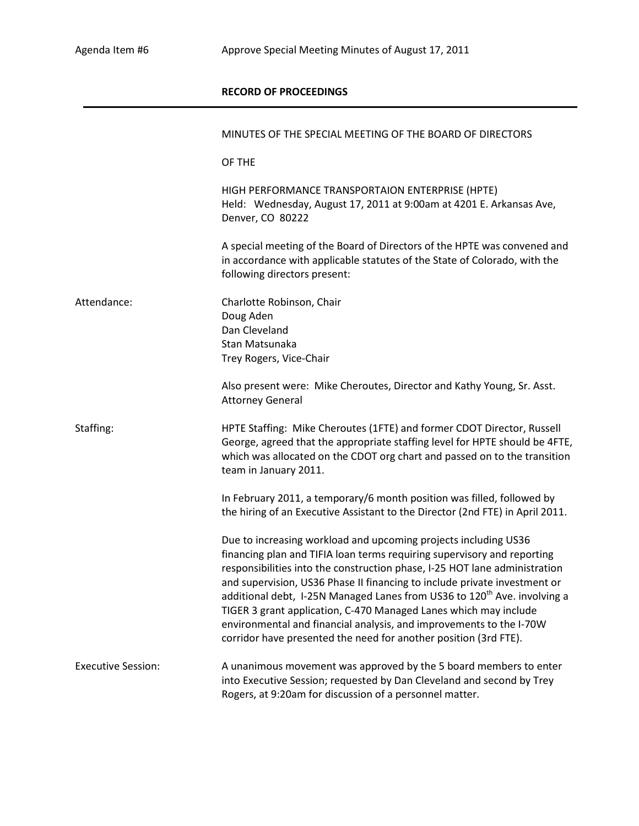## **RECORD OF PROCEEDINGS**

|                           | MINUTES OF THE SPECIAL MEETING OF THE BOARD OF DIRECTORS                                                                                                                                                                                                                                                                                                                                                                                                                                                                                                                                                     |
|---------------------------|--------------------------------------------------------------------------------------------------------------------------------------------------------------------------------------------------------------------------------------------------------------------------------------------------------------------------------------------------------------------------------------------------------------------------------------------------------------------------------------------------------------------------------------------------------------------------------------------------------------|
|                           | OF THE                                                                                                                                                                                                                                                                                                                                                                                                                                                                                                                                                                                                       |
|                           | HIGH PERFORMANCE TRANSPORTAION ENTERPRISE (HPTE)<br>Held: Wednesday, August 17, 2011 at 9:00am at 4201 E. Arkansas Ave,<br>Denver, CO 80222                                                                                                                                                                                                                                                                                                                                                                                                                                                                  |
|                           | A special meeting of the Board of Directors of the HPTE was convened and<br>in accordance with applicable statutes of the State of Colorado, with the<br>following directors present:                                                                                                                                                                                                                                                                                                                                                                                                                        |
| Attendance:               | Charlotte Robinson, Chair<br>Doug Aden<br>Dan Cleveland<br>Stan Matsunaka<br>Trey Rogers, Vice-Chair                                                                                                                                                                                                                                                                                                                                                                                                                                                                                                         |
|                           | Also present were: Mike Cheroutes, Director and Kathy Young, Sr. Asst.<br><b>Attorney General</b>                                                                                                                                                                                                                                                                                                                                                                                                                                                                                                            |
| Staffing:                 | HPTE Staffing: Mike Cheroutes (1FTE) and former CDOT Director, Russell<br>George, agreed that the appropriate staffing level for HPTE should be 4FTE,<br>which was allocated on the CDOT org chart and passed on to the transition<br>team in January 2011.                                                                                                                                                                                                                                                                                                                                                  |
|                           | In February 2011, a temporary/6 month position was filled, followed by<br>the hiring of an Executive Assistant to the Director (2nd FTE) in April 2011.                                                                                                                                                                                                                                                                                                                                                                                                                                                      |
|                           | Due to increasing workload and upcoming projects including US36<br>financing plan and TIFIA loan terms requiring supervisory and reporting<br>responsibilities into the construction phase, I-25 HOT lane administration<br>and supervision, US36 Phase II financing to include private investment or<br>additional debt, I-25N Managed Lanes from US36 to 120 <sup>th</sup> Ave. involving a<br>TIGER 3 grant application, C-470 Managed Lanes which may include<br>environmental and financial analysis, and improvements to the I-70W<br>corridor have presented the need for another position (3rd FTE). |
| <b>Executive Session:</b> | A unanimous movement was approved by the 5 board members to enter<br>into Executive Session; requested by Dan Cleveland and second by Trey<br>Rogers, at 9:20am for discussion of a personnel matter.                                                                                                                                                                                                                                                                                                                                                                                                        |